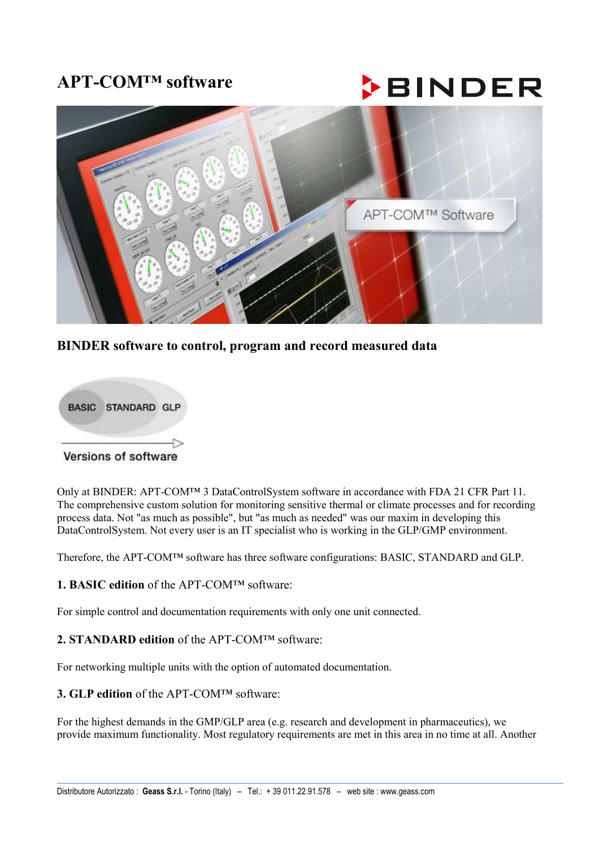# **APT-COM™ software**

# **BINDER**



# **BINDER software to control, program and record measured data**



Only at BINDER: APT-COM™ 3 DataControlSystem software in accordance with FDA 21 CFR Part 11. The comprehensive custom solution for monitoring sensitive thermal or climate processes and for recording process data. Not "as much as possible", but "as much as needed" was our maxim in developing this DataControlSystem. Not every user is an IT specialist who is working in the GLP/GMP environment.

Therefore, the APT-COM™ software has three software configurations: BASIC, STANDARD and GLP.

#### **1. BASIC edition** of the APT-COM™ software:

For simple control and documentation requirements with only one unit connected.

#### **2. STANDARD edition** of the APT-COM™ software:

For networking multiple units with the option of automated documentation.

### **3. GLP edition** of the APT-COM™ software:

For the highest demands in the GMP/GLP area (e.g. research and development in pharmaceutics), we provide maximum functionality. Most regulatory requirements are met in this area in no time at all. Another